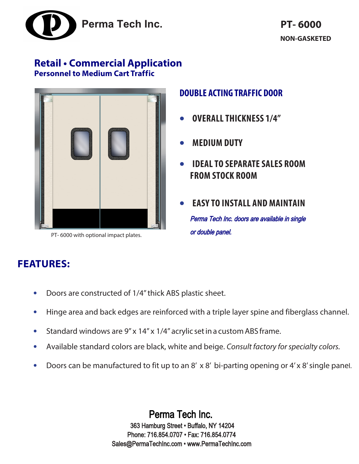

# **Retail • Commercial Application Personnel to Medium Cart Traffic**



PT- 6000 with optional impact plates.

# **DOUBLE ACTING TRAFFIC DOOR**

- **OVERALL THICKNESS 1/4"**
- **MEDIUM DUTY**
- **IDEALTO SEPARATE SALES ROOM FROM STOCK ROOM**
- **EASY TO INSTALL AND MAINTAIN** Perma Tech Inc. doors are available in single or double panel.

# **FEATURES:**

- **•** Doors are constructed of 1/4" thick ABS plastic sheet.
- **•** Hinge area and back edges are reinforced with a triple layer spine and fiberglass channel.
- **•** Standard windows are 9" x 14" x 1/4" acrylic set in a custom ABS frame.
- **•** Available standard colors are black, white and beige. *Consult factory for specialty colors.*
- **•** Doors can be manufactured to fit up to an 8' x 8' bi-parting opening or 4' x 8' single panel.

Perma Tech Inc. 363 Hamburg Street • Buffalo, NY 14204 Phone: 716.854.0707 • Fax: 716.854.0774 Sales@PermaTechInc.com • www.PermaTechInc.com